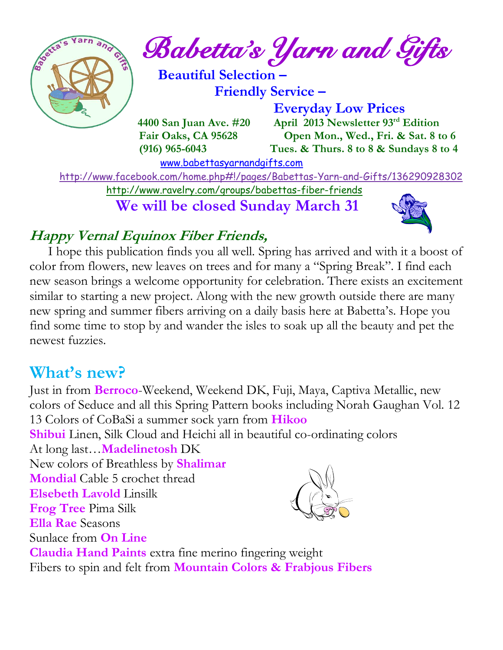

*Babetta's Yarn and Gifts* 

 **Beautiful Selection – Friendly Service –**

 **Everyday Low Prices 4400 San Juan Ave. #20** April 2013 Newsletter 93<sup>rd</sup> Edition  **Fair Oaks, CA 95628 Open Mon., Wed., Fri. & Sat. 8 to 6 (916) 965-6043 Tues. & Thurs. 8 to 8 & Sundays 8 to 4** 

[www.babettasyarnandgifts.com](http://www.babettasyarnandgifts.com/)

<http://www.facebook.com/home.php#!/pages/Babettas-Yarn-and-Gifts/136290928302>

<http://www.ravelry.com/groups/babettas-fiber-friends>

 **We will be closed Sunday March 31**



## **Happy Vernal Equinox Fiber Friends,**

 I hope this publication finds you all well. Spring has arrived and with it a boost of color from flowers, new leaves on trees and for many a "Spring Break". I find each new season brings a welcome opportunity for celebration. There exists an excitement similar to starting a new project. Along with the new growth outside there are many new spring and summer fibers arriving on a daily basis here at Babetta's. Hope you find some time to stop by and wander the isles to soak up all the beauty and pet the newest fuzzies.

## **What's new?**

Just in from **Berroco**-Weekend, Weekend DK, Fuji, Maya, Captiva Metallic, new colors of Seduce and all this Spring Pattern books including Norah Gaughan Vol. 12 13 Colors of CoBaSi a summer sock yarn from **Hikoo**

**Shibui** Linen, Silk Cloud and Heichi all in beautiful co-ordinating colors

At long last…**Madelinetosh** DK

New colors of Breathless by **Shalimar**

**Mondial** Cable 5 crochet thread

**Elsebeth Lavold** Linsilk

**Frog Tree** Pima Silk

**Ella Rae** Seasons

Sunlace from **On Line**



**Claudia Hand Paints** extra fine merino fingering weight Fibers to spin and felt from **Mountain Colors & Frabjous Fibers**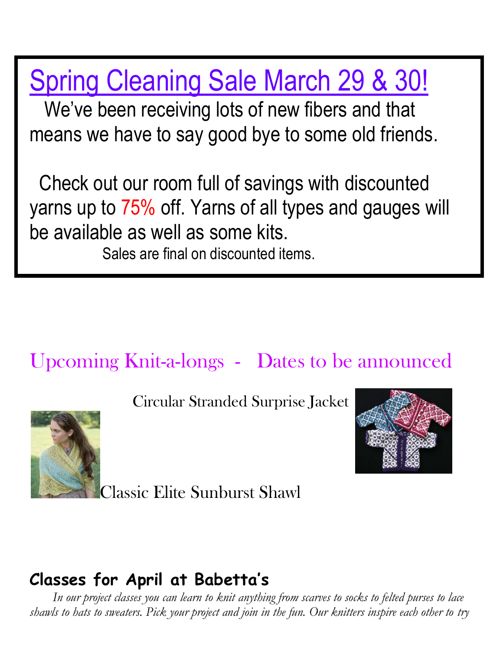Spring Cleaning Sale March 29 & 30!

 We've been receiving lots of new fibers and that means we have to say good bye to some old friends.

 Check out our room full of savings with discounted yarns up to 75% off. Yarns of all types and gauges will be available as well as some kits.

Sales are final on discounted items.

# Upcoming Knit-a-longs - Dates to be announced



Circular Stranded Surprise Jacket



Classic Elite Sunburst Shawl

# **Classes for April at Babetta's**

 *In our project classes you can learn to knit anything from scarves to socks to felted purses to lace shawls to hats to sweaters. Pick your project and join in the fun. Our knitters inspire each other to try*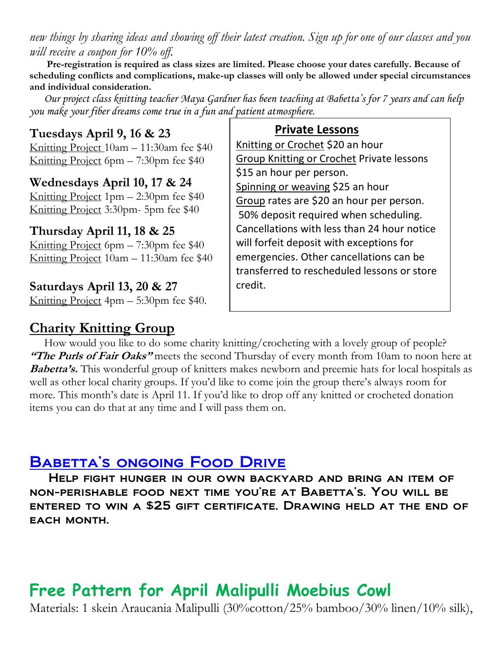*new things by sharing ideas and showing off their latest creation. Sign up for one of our classes and you will receive a coupon for 10% off.*

 **Pre-registration is required as class sizes are limited. Please choose your dates carefully. Because of scheduling conflicts and complications, make-up classes will only be allowed under special circumstances and individual consideration.**

*Our project class knitting teacher Maya Gardner has been teaching at Babetta's for 7 years and can help you make your fiber dreams come true in a fun and patient atmosphere.*

### **Tuesdays April 9, 16 & 23**

Knitting Project 10am – 11:30am fee \$40 Knitting Project 6pm – 7:30pm fee \$40

#### **Wednesdays April 10, 17 & 24**

Knitting Project  $1pm - 2:30pm$  fee \$40 Knitting Project 3:30pm- 5pm fee \$40

#### **Thursday April 11, 18 & 25**

Knitting Project 6pm – 7:30pm fee \$40 Knitting Project 10am – 11:30am fee \$40

#### **Saturdays April 13, 20 & 27**

Knitting Project 4pm – 5:30pm fee \$40.

#### Knitting or Crochet \$20 an hour Group Knitting or Crochet Private lessons

**Private Lessons** 

\$15 an hour per person. Spinning or weaving \$25 an hour Group rates are \$20 an hour per person. 50% deposit required when scheduling. Cancellations with less than 24 hour notice will forfeit deposit with exceptions for emergencies. Other cancellations can be transferred to rescheduled lessons or store credit.

### **Charity Knitting Group**

 How would you like to do some charity knitting/crocheting with a lovely group of people? **"The Purls of Fair Oaks"** meets the second Thursday of every month from 10am to noon here at **Babetta's.** This wonderful group of knitters makes newborn and preemie hats for local hospitals as well as other local charity groups. If you'd like to come join the group there's always room for more. This month's date is April 11. If you'd like to drop off any knitted or crocheted donation items you can do that at any time and I will pass them on.

## BABETTA'S ONGOING FOOD DRIVE

 Help fight hunger in our own backyard and bring an item of non-perishable food next time you're at Babetta's. You will be entered to win a \$25 gift certificate. Drawing held at the end of EACH MONTH.

# **Free Pattern for April Malipulli Moebius Cowl**

Materials: 1 skein Araucania Malipulli (30%cotton/25% bamboo/30% linen/10% silk),